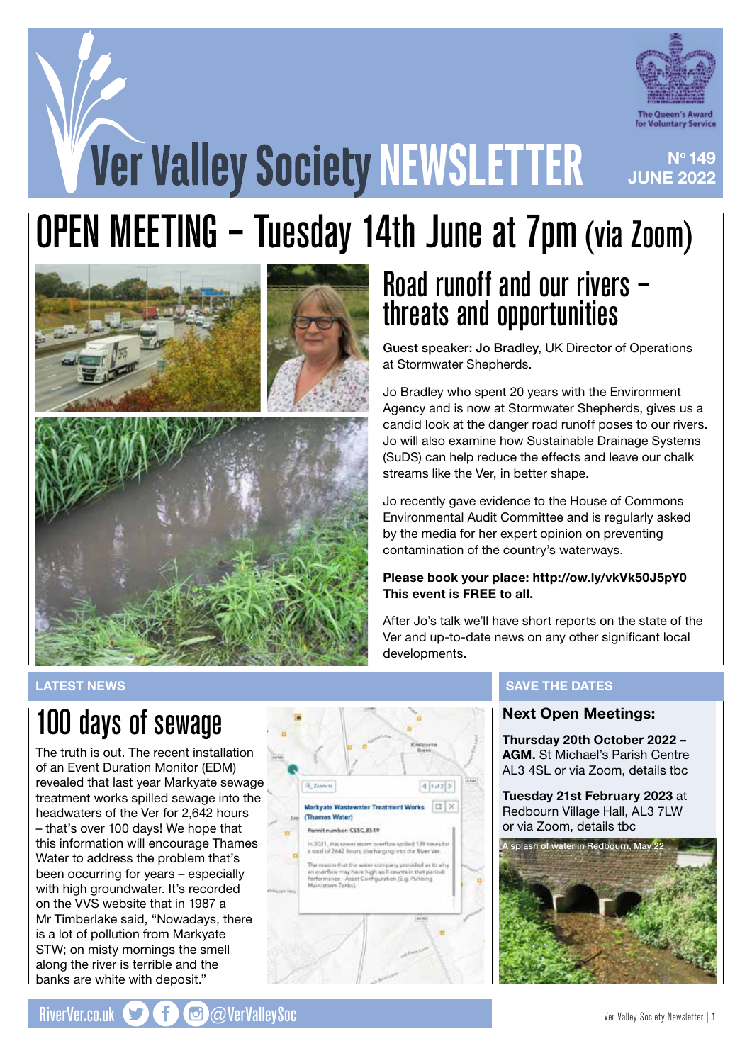

No 149

**JUNE 2022** 

# **Ver Valley Society NEWSLETTER**

# OPEN MEETING – Tuesday 14th June at 7pm (via Zoom)





## Road runoff and our rivers – threats and opportunities

Guest speaker: Jo Bradley, UK Director of Operations at Stormwater Shepherds.

Jo Bradley who spent 20 years with the Environment Agency and is now at Stormwater Shepherds, gives us a candid look at the danger road runoff poses to our rivers. Jo will also examine how Sustainable Drainage Systems (SuDS) can help reduce the effects and leave our chalk streams like the Ver, in better shape.

Jo recently gave evidence to the House of Commons Environmental Audit Committee and is regularly asked by the media for her expert opinion on preventing contamination of the country's waterways.

### Please book your place: http://ow.ly/vkVk50J5pY0 This event is FREE to all.

After Jo's talk we'll have short reports on the state of the Ver and up-to-date news on any other significant local developments.

### LATEST NEWS

## 100 days of sewage

The truth is out. The recent installation of an Event Duration Monitor (EDM) revealed that last year Markyate sewage treatment works spilled sewage into the headwaters of the Ver for 2,642 hours – that's over 100 days! We hope that this information will encourage Thames Water to address the problem that's been occurring for years – especially with high groundwater. It's recorded on the VVS website that in 1987 a Mr Timberlake said, "Nowadays, there is a lot of pollution from Markyate STW; on misty mornings the smell along the river is terrible and the banks are white with deposit."



### SAVE THE DATES

### Next Open Meetings:

Thursday 20th October 2022 – AGM. St Michael's Parish Centre AL3 4SL or via Zoom, details tbc

Tuesday 21st February 2023 at Redbourn Village Hall, AL3 7LW or via Zoom, details tbc

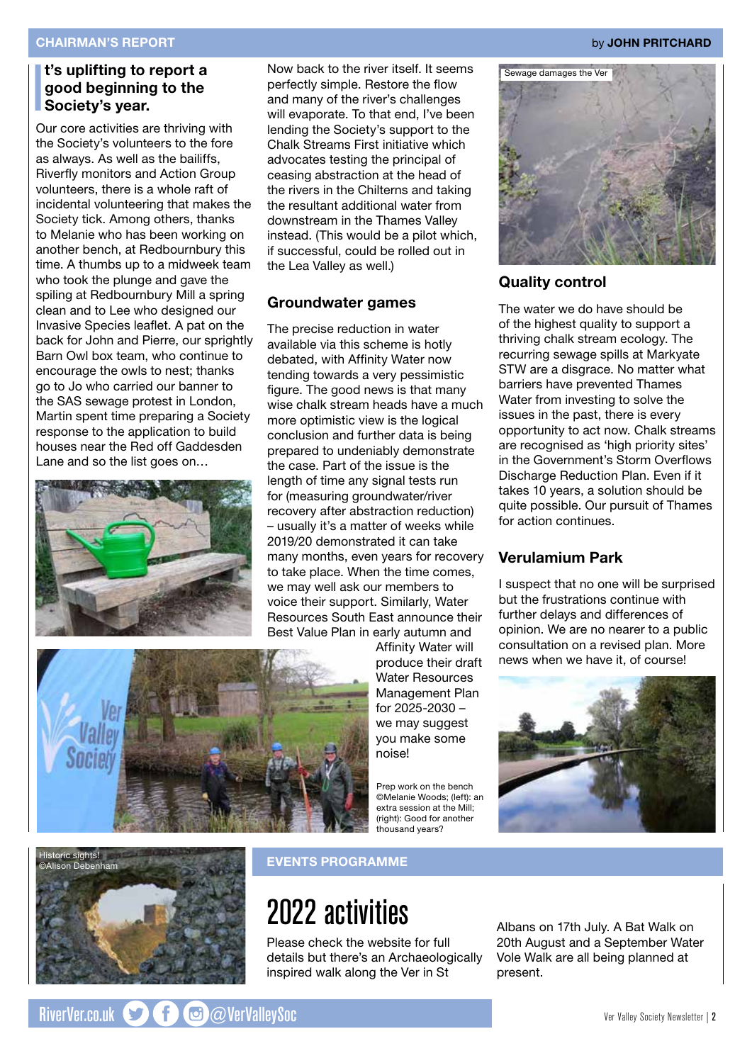### I t's uplifting to report a good beginning to the Society's year.

Our core activities are thriving with the Society's volunteers to the fore as always. As well as the bailiffs, Riverfly monitors and Action Group volunteers, there is a whole raft of incidental volunteering that makes the Society tick. Among others, thanks to Melanie who has been working on another bench, at Redbournbury this time. A thumbs up to a midweek team who took the plunge and gave the spiling at Redbournbury Mill a spring clean and to Lee who designed our Invasive Species leaflet. A pat on the back for John and Pierre, our sprightly Barn Owl box team, who continue to encourage the owls to nest; thanks go to Jo who carried our banner to the SAS sewage protest in London, Martin spent time preparing a Society response to the application to build houses near the Red off Gaddesden Lane and so the list goes on…



Now back to the river itself. It seems perfectly simple. Restore the flow and many of the river's challenges will evaporate. To that end, I've been lending the Society's support to the Chalk Streams First initiative which advocates testing the principal of ceasing abstraction at the head of the rivers in the Chilterns and taking the resultant additional water from downstream in the Thames Valley instead. (This would be a pilot which, if successful, could be rolled out in the Lea Valley as well.)

### Groundwater games

The precise reduction in water available via this scheme is hotly debated, with Affinity Water now tending towards a very pessimistic figure. The good news is that many wise chalk stream heads have a much more optimistic view is the logical conclusion and further data is being prepared to undeniably demonstrate the case. Part of the issue is the length of time any signal tests run for (measuring groundwater/river recovery after abstraction reduction) – usually it's a matter of weeks while 2019/20 demonstrated it can take many months, even years for recovery to take place. When the time comes, we may well ask our members to voice their support. Similarly, Water Resources South East announce their Best Value Plan in early autumn and



Affinity Water will produce their draft Water Resources Management Plan for 2025-2030 – we may suggest you make some noise!

Prep work on the bench ©Melanie Woods; (left): an extra session at the Mill; (right): Good for another thousand years?



### Quality control

The water we do have should be of the highest quality to support a thriving chalk stream ecology. The recurring sewage spills at Markyate STW are a disgrace. No matter what barriers have prevented Thames Water from investing to solve the issues in the past, there is every opportunity to act now. Chalk streams are recognised as 'high priority sites' in the Government's Storm Overflows Discharge Reduction Plan. Even if it takes 10 years, a solution should be quite possible. Our pursuit of Thames for action continues.

### Verulamium Park

I suspect that no one will be surprised but the frustrations continue with further delays and differences of opinion. We are no nearer to a public consultation on a revised plan. More news when we have it, of course!





### EVENTS PROGRAMME

## 2022 activities

Please check the website for full details but there's an Archaeologically inspired walk along the Ver in St

Albans on 17th July. A Bat Walk on 20th August and a September Water Vole Walk are all being planned at present.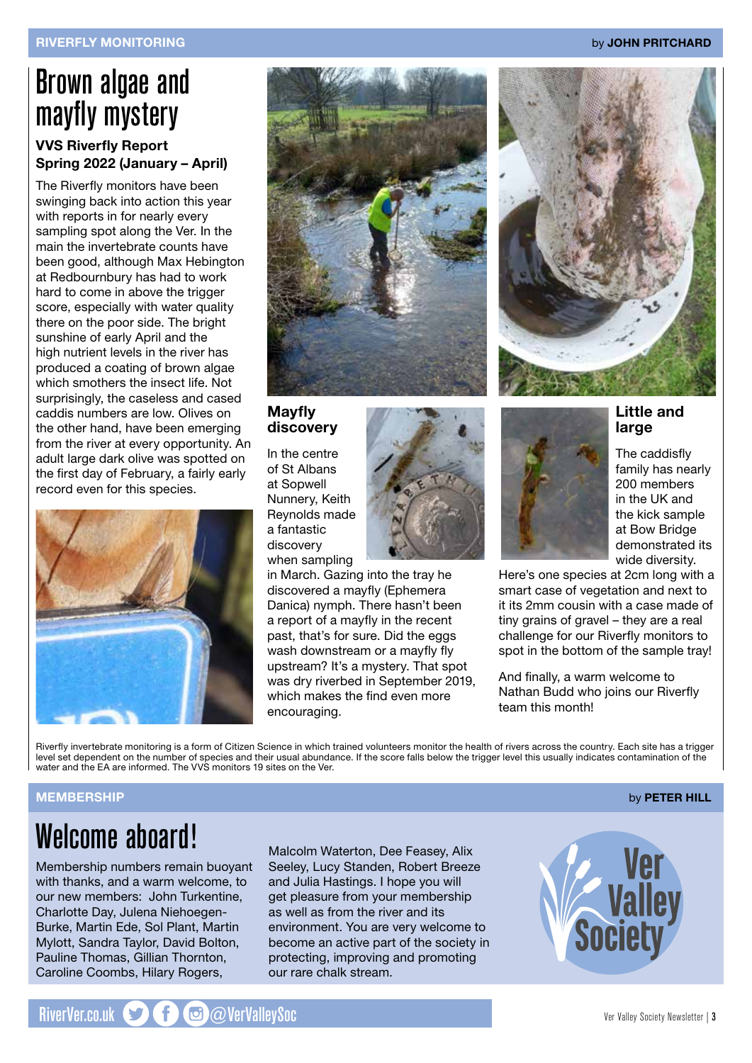## Brown algae and mayfly mystery

### VVS Riverfly Report Spring 2022 (January – April)

The Riverfly monitors have been swinging back into action this year with reports in for nearly every sampling spot along the Ver. In the main the invertebrate counts have been good, although Max Hebington at Redbournbury has had to work hard to come in above the trigger score, especially with water quality there on the poor side. The bright sunshine of early April and the high nutrient levels in the river has produced a coating of brown algae which smothers the insect life. Not surprisingly, the caseless and cased caddis numbers are low. Olives on the other hand, have been emerging from the river at every opportunity. An adult large dark olive was spotted on the first day of February, a fairly early record even for this species.





### Mayfly discovery

In the centre of St Albans at Sopwell Nunnery, Keith Reynolds made a fantastic discovery when sampling



in March. Gazing into the tray he discovered a mayfly (Ephemera Danica) nymph. There hasn't been a report of a mayfly in the recent past, that's for sure. Did the eggs wash downstream or a mayfly fly upstream? It's a mystery. That spot was dry riverbed in September 2019, which makes the find even more encouraging.



### Little and large

The caddisfly family has nearly 200 members in the UK and the kick sample at Bow Bridge demonstrated its wide diversity.

Here's one species at 2cm long with a smart case of vegetation and next to it its 2mm cousin with a case made of tiny grains of gravel – they are a real challenge for our Riverfly monitors to spot in the bottom of the sample tray!

And finally, a warm welcome to Nathan Budd who joins our Riverfly team this month!

Riverfly invertebrate monitoring is a form of Citizen Science in which trained volunteers monitor the health of rivers across the country. Each site has a trigger level set dependent on the number of species and their usual abundance. If the score falls below the trigger level this usually indicates contamination of the water and the EA are informed. The VVS monitors 19 sites on the Ver.

### MEMBERSHIP by PETER HILL

## Welcome aboard!

Membership numbers remain buoyant with thanks, and a warm welcome, to our new members: John Turkentine, Charlotte Day, Julena Niehoegen-Burke, Martin Ede, Sol Plant, Martin Mylott, Sandra Taylor, David Bolton, Pauline Thomas, Gillian Thornton, Caroline Coombs, Hilary Rogers,

Malcolm Waterton, Dee Feasey, Alix Seeley, Lucy Standen, Robert Breeze and Julia Hastings. I hope you will get pleasure from your membership as well as from the river and its environment. You are very welcome to become an active part of the society in protecting, improving and promoting our rare chalk stream.

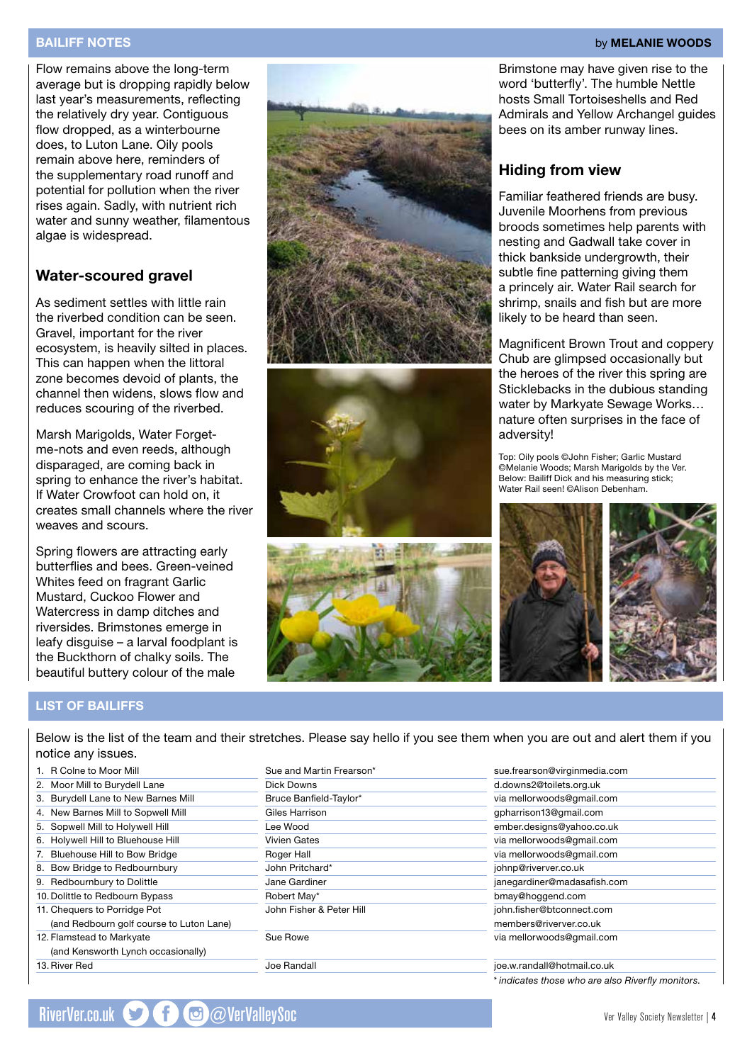### BAILIFF NOTES by MELANIE WOODS

Flow remains above the long-term average but is dropping rapidly below last year's measurements, reflecting the relatively dry year. Contiguous flow dropped, as a winterbourne does, to Luton Lane. Oily pools remain above here, reminders of the supplementary road runoff and potential for pollution when the river rises again. Sadly, with nutrient rich water and sunny weather, filamentous algae is widespread.

### Water-scoured gravel

As sediment settles with little rain the riverbed condition can be seen. Gravel, important for the river ecosystem, is heavily silted in places. This can happen when the littoral zone becomes devoid of plants, the channel then widens, slows flow and reduces scouring of the riverbed.

Marsh Marigolds, Water Forgetme-nots and even reeds, although disparaged, are coming back in spring to enhance the river's habitat. If Water Crowfoot can hold on, it creates small channels where the river weaves and scours.

Spring flowers are attracting early butterflies and bees. Green-veined Whites feed on fragrant Garlic Mustard, Cuckoo Flower and Watercress in damp ditches and riversides. Brimstones emerge in leafy disguise – a larval foodplant is the Buckthorn of chalky soils. The beautiful buttery colour of the male







Brimstone may have given rise to the word 'butterfly'. The humble Nettle hosts Small Tortoiseshells and Red Admirals and Yellow Archangel guides bees on its amber runway lines.

### Hiding from view

Familiar feathered friends are busy. Juvenile Moorhens from previous broods sometimes help parents with nesting and Gadwall take cover in thick bankside undergrowth, their subtle fine patterning giving them a princely air. Water Rail search for shrimp, snails and fish but are more likely to be heard than seen.

Magnificent Brown Trout and coppery Chub are glimpsed occasionally but the heroes of the river this spring are Sticklebacks in the dubious standing water by Markyate Sewage Works… nature often surprises in the face of adversity!

Top: Oily pools ©John Fisher; Garlic Mustard ©Melanie Woods; Marsh Marigolds by the Ver. Below: Bailiff Dick and his measuring stick; Water Rail seen! ©Alison Debenham.



### LIST OF BAILIFFS

13.River Red

Below is the list of the team and their stretches. Please say hello if you see them when you are out and alert them if you notice any issues.

| 1. | R Colne to Moor Mill                     | S  |
|----|------------------------------------------|----|
|    | 2. Moor Mill to Burydell Lane            | D  |
| 3. | <b>Burydell Lane to New Barnes Mill</b>  | В  |
|    | 4. New Barnes Mill to Sopwell Mill       | G  |
|    | 5. Sopwell Mill to Holywell Hill         | L  |
|    | 6. Holywell Hill to Bluehouse Hill       | V  |
| 7. | <b>Bluehouse Hill to Bow Bridge</b>      | R  |
|    | 8. Bow Bridge to Redbournbury            | J۱ |
|    | 9. Redbournbury to Dolittle              | J. |
|    | 10. Dolittle to Redbourn Bypass          | R  |
|    | 11. Chequers to Porridge Pot             | J  |
|    | (and Redbourn golf course to Luton Lane) |    |
|    | 12. Flamstead to Markyate                | S  |
|    | (and Kensworth Lynch occasionally)       |    |

| Sue and Martin Frearson* | sue.frearson@  |
|--------------------------|----------------|
| Dick Downs               | d.downs2@to    |
| Bruce Banfield-Taylor*   | via mellorwoo  |
| Giles Harrison           | qpharrison13   |
| Lee Wood                 | ember.design   |
| <b>Vivien Gates</b>      | via mellorwoo  |
| Roger Hall               | via mellorwoo  |
| John Pritchard*          | johnp@riverve  |
| Jane Gardiner            | janegardiner@  |
| Robert May*              | bmay@hogge     |
| John Fisher & Peter Hill | john.fisher@b  |
|                          | members@riv    |
| Sue Rowe                 | via mellorwoo  |
| Joe Randall              | ioe.w.randall@ |

sue.frearson@virginmedia.com oilets.org.uk ods@gmail.com @gmail.com ember.designs@yahoo.co.uk ods@gmail.com ods@gmail.com er.co.uk amadasafish.com and com btconnect.com verver.co.uk ods@gmail.com joe.w.randall@hotmail.co.uk

*\* indicates those who are also Riverfly monitors.*

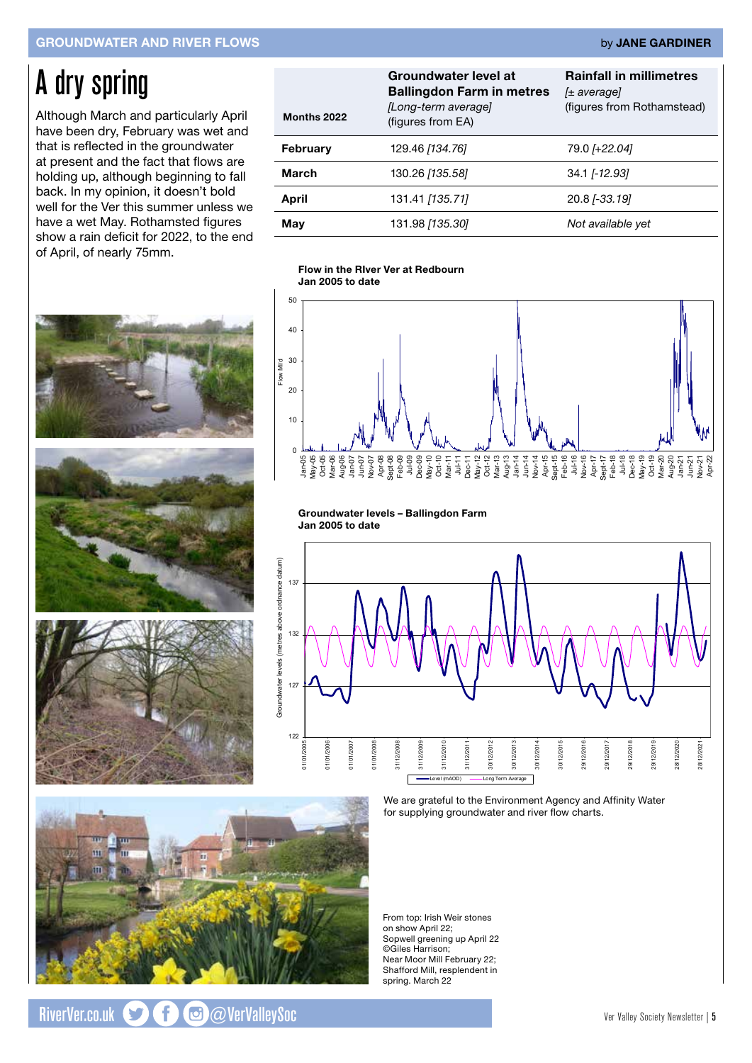### GROUNDWATER AND RIVER FLOWS by JANE GARDINER

## A dry spring

Although March and particularly April have been dry, February was wet and that is reflected in the groundwater at present and the fact that flows are holding up, although beginning to fall back. In my opinion, it doesn't bold well for the Ver this summer unless we have a wet May. Rothamsted figures show a rain deficit for 2022, to the end of April, of nearly 75mm.



### **Flow in the River Ver at Redbourn**  Flow in the RIver Ver at Redbourn **January 2005 to Date** Jan 2005 to date



Groundwater levels – Ballingdon Farm **Groundwater levels - Ballingdon Farm 2005 - To Date** Jan 2005 to date



We are grateful to the Environment Agency and Affinity Water for supplying groundwater and river flow charts.

From top: Irish Weir stones on show April 22; Sopwell greening up April 22 ©Giles Harrison; Near Moor Mill February 22; Shafford Mill, resplendent in spring. March 22





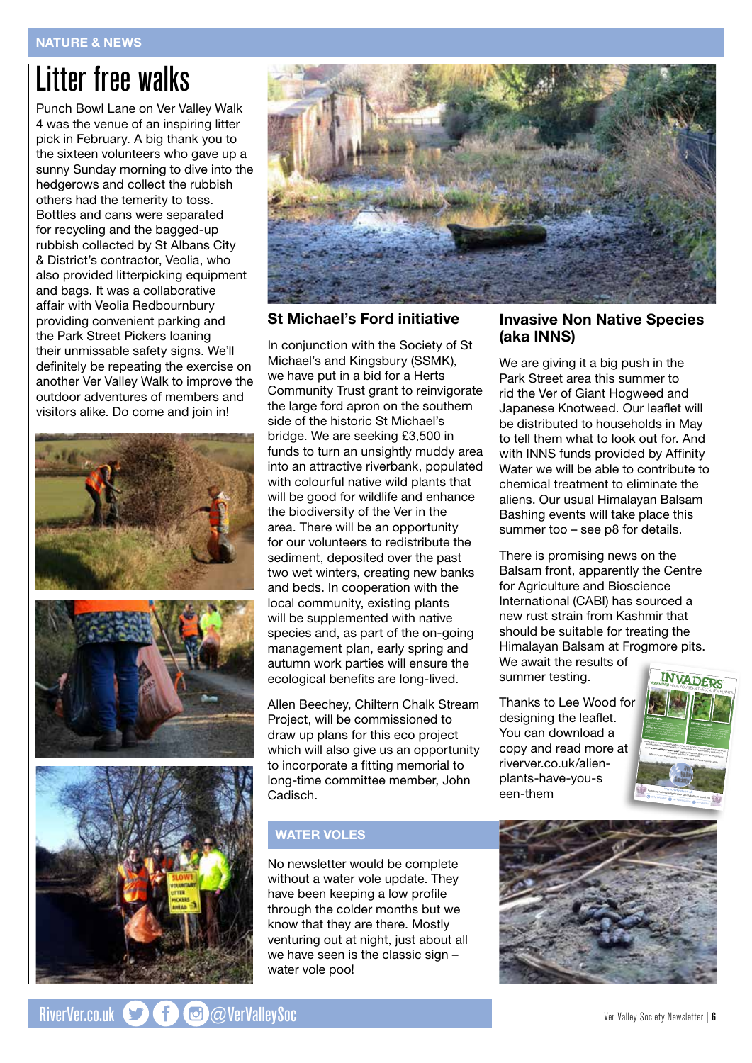## Litter free walks

Punch Bowl Lane on Ver Valley Walk 4 was the venue of an inspiring litter pick in February. A big thank you to the sixteen volunteers who gave up a sunny Sunday morning to dive into the hedgerows and collect the rubbish others had the temerity to toss. Bottles and cans were separated for recycling and the bagged-up rubbish collected by St Albans City & District's contractor, Veolia, who also provided litterpicking equipment and bags. It was a collaborative affair with Veolia Redbournbury providing convenient parking and the Park Street Pickers loaning their unmissable safety signs. We'll definitely be repeating the exercise on another Ver Valley Walk to improve the outdoor adventures of members and visitors alike. Do come and join in!





### St Michael's Ford initiative

In conjunction with the Society of St Michael's and Kingsbury (SSMK), we have put in a bid for a Herts Community Trust grant to reinvigorate the large ford apron on the southern side of the historic St Michael's bridge. We are seeking £3,500 in funds to turn an unsightly muddy area into an attractive riverbank, populated with colourful native wild plants that will be good for wildlife and enhance the biodiversity of the Ver in the area. There will be an opportunity for our volunteers to redistribute the sediment, deposited over the past two wet winters, creating new banks and beds. In cooperation with the local community, existing plants will be supplemented with native species and, as part of the on-going management plan, early spring and autumn work parties will ensure the ecological benefits are long-lived.

Allen Beechey, Chiltern Chalk Stream Project, will be commissioned to draw up plans for this eco project which will also give us an opportunity to incorporate a fitting memorial to long-time committee member, John Cadisch.

### WATER VOLES

No newsletter would be complete without a water vole update. They have been keeping a low profile through the colder months but we know that they are there. Mostly venturing out at night, just about all we have seen is the classic sign – water vole poo!

### Invasive Non Native Species (aka INNS)

We are giving it a big push in the Park Street area this summer to rid the Ver of Giant Hogweed and Japanese Knotweed. Our leaflet will be distributed to households in May to tell them what to look out for. And with INNS funds provided by Affinity Water we will be able to contribute to chemical treatment to eliminate the aliens. Our usual Himalayan Balsam Bashing events will take place this summer too – see p8 for details.

There is promising news on the Balsam front, apparently the Centre for Agriculture and Bioscience International (CABI) has sourced a new rust strain from Kashmir that should be suitable for treating the Himalayan Balsam at Frogmore pits. We await the results of summer testing.

Thanks to Lee Wood for designing the leaflet. You can download a copy and read more at riverver.co.uk/alienplants-have-you-s een-them



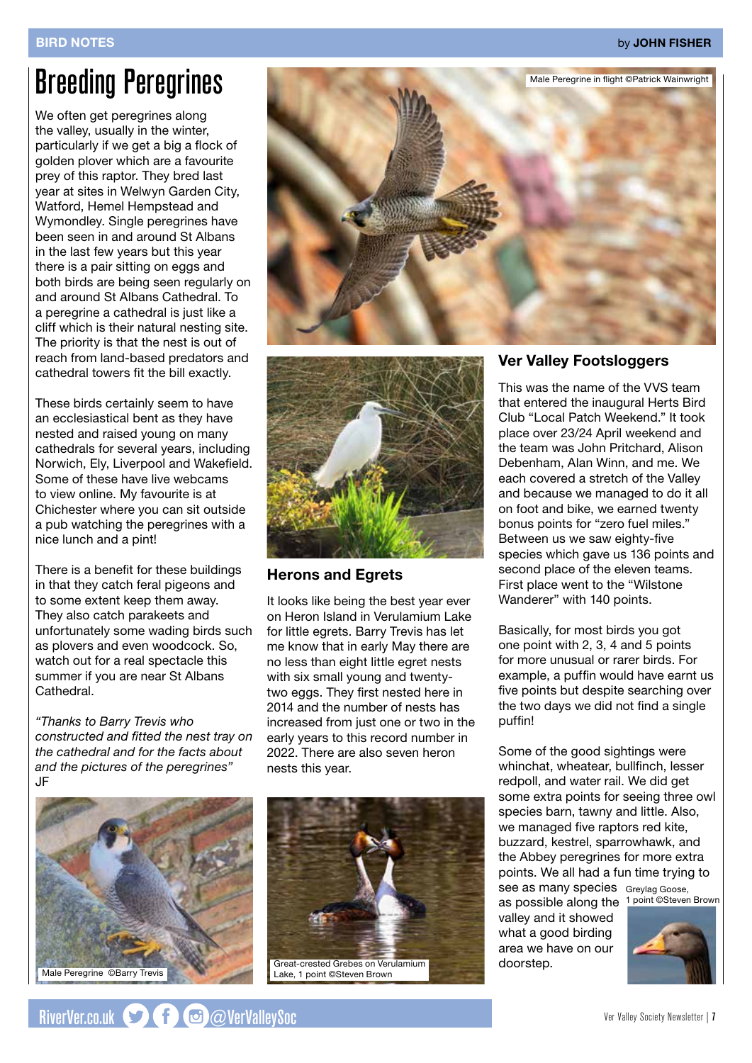## Breeding Peregrines

We often get peregrines along the valley, usually in the winter, particularly if we get a big a flock of golden plover which are a favourite prey of this raptor. They bred last year at sites in Welwyn Garden City, Watford, Hemel Hempstead and Wymondley. Single peregrines have been seen in and around St Albans in the last few years but this year there is a pair sitting on eggs and both birds are being seen regularly on and around St Albans Cathedral. To a peregrine a cathedral is just like a cliff which is their natural nesting site. The priority is that the nest is out of reach from land-based predators and cathedral towers fit the bill exactly.

These birds certainly seem to have an ecclesiastical bent as they have nested and raised young on many cathedrals for several years, including Norwich, Ely, Liverpool and Wakefield. Some of these have live webcams to view online. My favourite is at Chichester where you can sit outside a pub watching the peregrines with a nice lunch and a pint!

There is a benefit for these buildings in that they catch feral pigeons and to some extent keep them away. They also catch parakeets and unfortunately some wading birds such as plovers and even woodcock. So, watch out for a real spectacle this summer if you are near St Albans Cathedral.

*"Thanks to Barry Trevis who constructed and fitted the nest tray on the cathedral and for the facts about and the pictures of the peregrines"* JF







### Herons and Egrets

It looks like being the best year ever on Heron Island in Verulamium Lake for little egrets. Barry Trevis has let me know that in early May there are no less than eight little egret nests with six small young and twentytwo eggs. They first nested here in 2014 and the number of nests has increased from just one or two in the early years to this record number in 2022. There are also seven heron nests this year.



Great-crested Grebes on Verulamium Lake, 1 point ©Steven Brown

### Ver Valley Footsloggers

This was the name of the VVS team that entered the inaugural Herts Bird Club "Local Patch Weekend." It took place over 23/24 April weekend and the team was John Pritchard, Alison Debenham, Alan Winn, and me. We each covered a stretch of the Valley and because we managed to do it all on foot and bike, we earned twenty bonus points for "zero fuel miles." Between us we saw eighty-five species which gave us 136 points and second place of the eleven teams. First place went to the "Wilstone Wanderer" with 140 points.

Basically, for most birds you got one point with 2, 3, 4 and 5 points for more unusual or rarer birds. For example, a puffin would have earnt us five points but despite searching over the two days we did not find a single puffin!

Some of the good sightings were whinchat, wheatear, bullfinch, lesser redpoll, and water rail. We did get some extra points for seeing three owl species barn, tawny and little. Also, we managed five raptors red kite, buzzard, kestrel, sparrowhawk, and the Abbey peregrines for more extra points. We all had a fun time trying to see as many species Greylag Goose,

as possible along the 1 point ©Steven Brown valley and it showed what a good birding area we have on our doorstep.